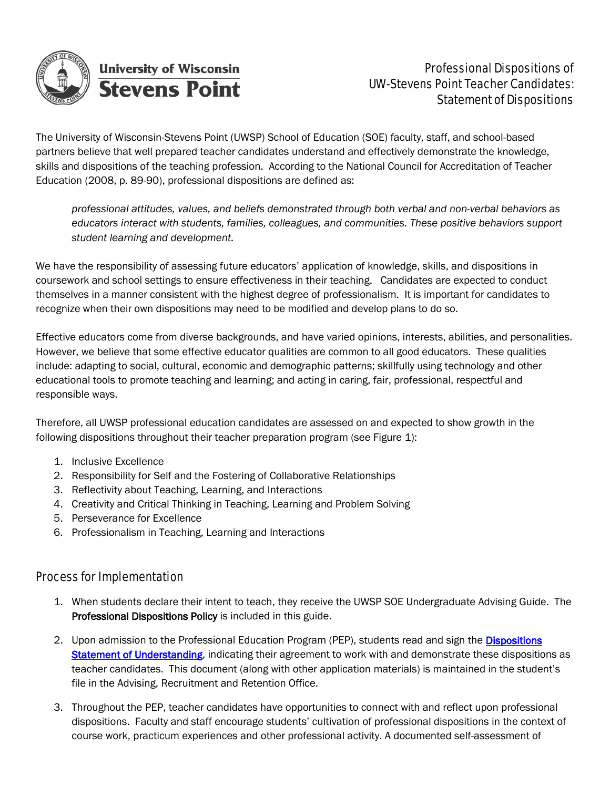

### Professional Dispositions of UW-Stevens Point Teacher Candidates: Statement of Dispositions

The University of Wisconsin-Stevens Point (UWSP) School of Education (SOE) faculty, staff, and school-based partners believe that well prepared teacher candidates understand and effectively demonstrate the knowledge, skills and dispositions of the teaching profession. According to the National Council for Accreditation of Teacher Education (2008, p. 89-90), professional dispositions are defined as:

*professional attitudes, values, and beliefs demonstrated through both verbal and non-verbal behaviors as educators interact with students, families, colleagues, and communities. These positive behaviors support student learning and development.*

We have the responsibility of assessing future educators' application of knowledge, skills, and dispositions in coursework and school settings to ensure effectiveness in their teaching. Candidates are expected to conduct themselves in a manner consistent with the highest degree of professionalism. It is important for candidates to recognize when their own dispositions may need to be modified and develop plans to do so.

Effective educators come from diverse backgrounds, and have varied opinions, interests, abilities, and personalities. However, we believe that some effective educator qualities are common to all good educators. These qualities include: adapting to social, cultural, economic and demographic patterns; skillfully using technology and other educational tools to promote teaching and learning; and acting in caring, fair, professional, respectful and responsible ways.

Therefore, all UWSP professional education candidates are assessed on and expected to show growth in the following dispositions throughout their teacher preparation program (see Figure 1):

- 1. Inclusive Excellence
- 2. Responsibility for Self and the Fostering of Collaborative Relationships
- 3. Reflectivity about Teaching, Learning, and Interactions
- 4. Creativity and Critical Thinking in Teaching, Learning and Problem Solving
- 5. Perseverance for Excellence
- 6. Professionalism in Teaching, Learning and Interactions

#### Process for Implementation

- 1. When students declare their intent to teach, they receive the UWSP SOE Undergraduate Advising Guide. The Professional Dispositions Policy is included in this guide.
- 2. Upon admission to the Professional Education Program (PEP), students read and sign the **Dispositions** Statement of Understanding, indicating their agreement to work with and demonstrate these dispositions as teacher candidates. This document (along with other application materials) is maintained in the student's file in the Advising, Recruitment and Retention Office.
- 3. Throughout the PEP, teacher candidates have opportunities to connect with and reflect upon professional dispositions. Faculty and staff encourage students' cultivation of professional dispositions in the context of course work, practicum experiences and other professional activity. A documented self-assessment of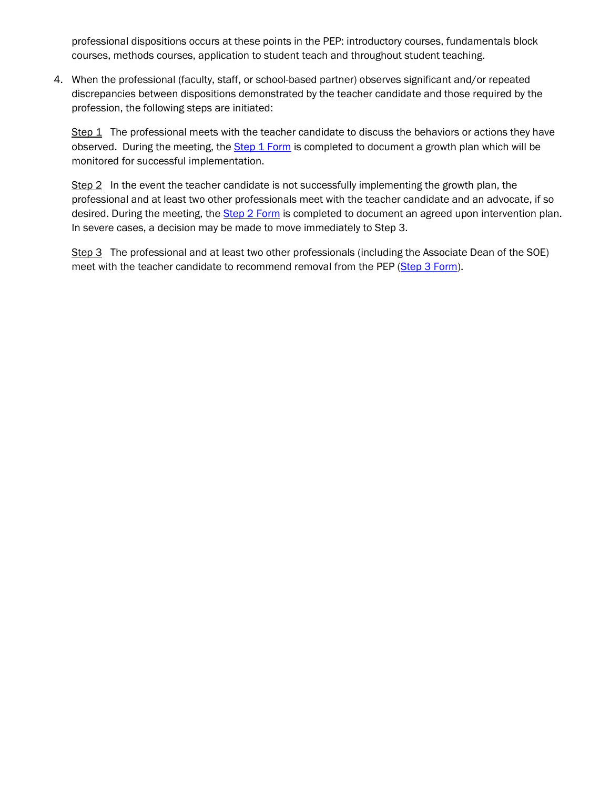professional dispositions occurs at these points in the PEP: introductory courses, fundamentals block courses, methods courses, application to student teach and throughout student teaching.

4. When the professional (faculty, staff, or school-based partner) observes significant and/or repeated discrepancies between dispositions demonstrated by the teacher candidate and those required by the profession, the following steps are initiated:

Step 1 The professional meets with the teacher candidate to discuss the behaviors or actions they have observed. During the meeting, the Step 1 Form is completed to document a growth plan which will be monitored for successful implementation.

Step 2 In the event the teacher candidate is not successfully implementing the growth plan, the professional and at least two other professionals meet with the teacher candidate and an advocate, if so desired. During the meeting, the **Step 2 Form** is completed to document an agreed upon intervention plan. In severe cases, a decision may be made to move immediately to Step 3.

Step 3 The professional and at least two other professionals (including the Associate Dean of the SOE) meet with the teacher candidate to recommend removal from the PEP (Step 3 Form).